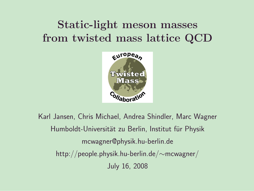## Static-light meson masses from twisted mass lattice QCD



Karl Jansen, Chris Michael, Andrea Shindler, Marc Wagner Humboldt-Universität zu Berlin, Institut für Physik mcwagner@physik.hu-berlin.de http://people.physik.hu-berlin.de/∼mcwagner/ July 16, 2008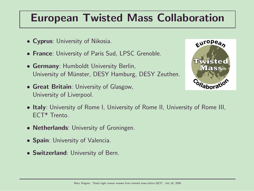### European Twisted Mass Collaboration

- Cyprus: University of Nikosia.
- France: University of Paris Sud, LPSC Grenoble.
- Germany: Humboldt University Berlin, University of Münster, DESY Hamburg, DESY Zeuthen.
- Great Britain: University of Glasgow, University of Liverpool.



- Italy: University of Rome I, University of Rome II, University of Rome III, ECT\* Trento.
- **Netherlands**: University of Groningen.
- Spain: University of Valencia.
- Switzerland: University of Bern.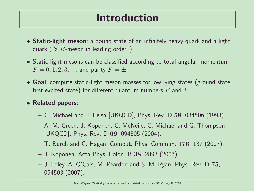### Introduction

- Static-light meson: a bound state of an infinitely heavy quark and a light quark ("a  $B$ -meson in leading order").
- Static-light mesons can be classified according to total angular momentum  $F = 0, 1, 2, 3, ...$  and parity  $P = \pm$ .
- Goal: compute static-light meson masses for low lying states (ground state, first excited state) for different quantum numbers  $F$  and  $P$ .
- Related papers:
	- $-$  C. Michael and J. Peisa [UKQCD], Phys. Rev. D 58, 034506 (1998).
	- A. M. Green, J. Koponen, C. McNeile, C. Michael and G. Thompson [UKQCD], Phys. Rev. D 69, 094505 (2004).
	- $-$  T. Burch and C. Hagen, Comput. Phys. Commun. 176, 137 (2007).
	- J. Koponen, Acta Phys. Polon. B 38, 2893 (2007).
	- J. Foley, A. O'Cais, M. Peardon and S. M. Ryan, Phys. Rev. D 75, 094503 (2007).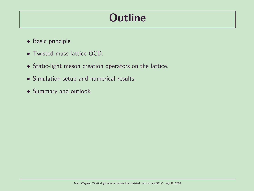## **Outline**

- Basic principle.
- Twisted mass lattice QCD.
- Static-light meson creation operators on the lattice.
- Simulation setup and numerical results.
- Summary and outlook.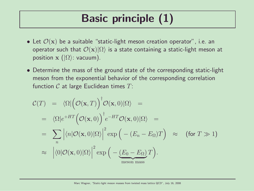# Basic principle (1)

- Let  $\mathcal{O}(\mathbf{x})$  be a suitable "static-light meson creation operator", i.e. an operator such that  $\mathcal{O}(\mathbf{x})|\Omega\rangle$  is a state containing a static-light meson at position  $\mathbf{x}$  ( $|\Omega\rangle$ : vacuum).
- Determine the mass of the ground state of the corresponding static-light meson from the exponential behavior of the corresponding correlation function  $C$  at large Euclidean times  $T$ :

$$
\mathcal{C}(T) = \langle \Omega | \big( \mathcal{O}(\mathbf{x}, T) \big)^{\dagger} \mathcal{O}(\mathbf{x}, 0) | \Omega \rangle =
$$
\n
$$
= \langle \Omega | e^{+HT} \big( \mathcal{O}(\mathbf{x}, 0) \big)^{\dagger} e^{-HT} \mathcal{O}(\mathbf{x}, 0) | \Omega \rangle =
$$
\n
$$
= \sum_{n} \left| \langle n | \mathcal{O}(\mathbf{x}, 0) | \Omega \rangle \right|^{2} \exp \big( - (E_{n} - E_{\Omega}) T \big) \approx \text{ (for } T \gg 1 \text{)}
$$
\n
$$
\approx \left| \langle 0 | \mathcal{O}(\mathbf{x}, 0) | \Omega \rangle \right|^{2} \exp \big( - \underbrace{(E_{0} - E_{\Omega}) T}_{\text{meson mass}} \big).
$$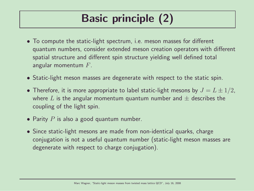# Basic principle (2)

- To compute the static-light spectrum, i.e. meson masses for different quantum numbers, consider extended meson creation operators with different spatial structure and different spin structure yielding well defined total angular momentum  $F$ .
- Static-light meson masses are degenerate with respect to the static spin.
- Therefore, it is more appropriate to label static-light mesons by  $J = L \pm 1/2$ , where L is the angular momentum quantum number and  $\pm$  describes the coupling of the light spin.
- Parity  $P$  is also a good quantum number.
- Since static-light mesons are made from non-identical quarks, charge conjugation is not a useful quantum number (static-light meson masses are degenerate with respect to charge conjugation).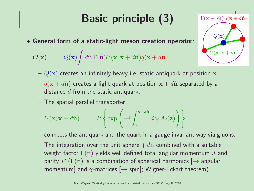# Basic principle (3)

• General form of a static-light meson creation operator:

$$
\mathcal{O}(\mathbf{x}) = \bar{Q}(\mathbf{x}) \int d\hat{\mathbf{n}} \Gamma(\hat{\mathbf{n}}) U(\mathbf{x}; \mathbf{x} + d\hat{\mathbf{n}}) q(\mathbf{x} + d\hat{\mathbf{n}}).
$$

 $-\bar{Q}(\mathbf{x})$  creates an infinitely heavy i.e. static antiquark at position x.

 $U(\mathbf{x}; \mathbf{x} + d\hat{\mathbf{n}})$ 

 $\Gamma(\mathbf{x} + d\hat{\mathbf{n}}) q(\mathbf{x} + d\hat{\mathbf{n}})$ 

 $\bar{Q}(\mathbf{x})$ 

- $q(x + d\hat{n})$  creates a light quark at position  $x + d\hat{n}$  separated by a distance  $d$  from the static antiquark.
- The spatial parallel transporter

$$
U(\mathbf{x}; \mathbf{x} + d\hat{\mathbf{n}}) = P\left\{\exp\left(+i\int_{\mathbf{x}}^{\mathbf{x} + d\hat{\mathbf{n}}} dz_j A_j(\mathbf{z})\right)\right\}
$$

connects the antiquark and the quark in a gauge invariant way via gluons.

 $-$  The integration over the unit sphere  $\int d\hat{\mathbf{n}}$  combined with a suitable weight factor  $\Gamma(\hat{\mathbf{n}})$  yields well defined total angular momentum J and parity P ( $\Gamma(\hat{\mathbf{n}})$  is a combination of spherical harmonics  $\rightarrow$  angular momentum] and  $\gamma$ -matrices  $[\rightarrow$  spin]; Wigner-Eckart theorem).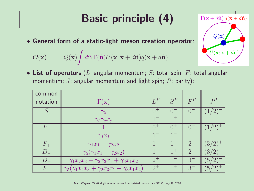# Basic principle (4)

• General form of a static-light meson creation operator:

$$
\mathcal{O}(\mathbf{x}) = \bar{Q}(\mathbf{x}) \int d\hat{\mathbf{n}} \Gamma(\hat{\mathbf{n}}) U(\mathbf{x}; \mathbf{x} + d\hat{\mathbf{n}}) q(\mathbf{x} + d\hat{\mathbf{n}}).
$$

• List of operators (L: angular momentum; S: total spin; F: total angular momentum; J: angular momentum and light spin; P: parity):

| common      |                                                                    |         |         |          |                                               |
|-------------|--------------------------------------------------------------------|---------|---------|----------|-----------------------------------------------|
| notation    | $\Gamma(\mathbf{x})$                                               | $L^P$   | $S^P$   | $F^P$    | $J^P$                                         |
|             | $\gamma_5$                                                         |         |         | $-0^{-}$ |                                               |
|             | $\gamma_5 \gamma_j x_j$                                            | $1 -$   | $1^+$   |          |                                               |
| $P_{\perp}$ |                                                                    | $0^{+}$ | $0^+$   | $0^{+}$  | (1/2)                                         |
|             | $\gamma_j x_j$                                                     | $1^{-}$ |         |          |                                               |
| $P_{\perp}$ | $\gamma_1 x_1 - \gamma_2 x_2$                                      |         |         | $2^{+}$  | $(3/2)^{+}$                                   |
| $D_{-}$     | $\gamma_5(\gamma_1x_1-\gamma_2x_2)$                                |         | $1^{+}$ | $2^{-}$  | (3/2)                                         |
| $D_{+}$     | $\gamma_1 x_2 x_3 + \gamma_2 x_3 x_1 + \gamma_3 x_1 x_2$           | $2^{+}$ |         | $3-$     | (5/2)                                         |
| $F_{-}$     | $\gamma_5(\gamma_1 x_2 x_3 + \gamma_2 x_3 x_1 + \gamma_3 x_1 x_2)$ | $2^+$   | $1^{+}$ | $3^{+}$  | 5 <sub>1</sub><br>$\mathcal{D}_{\mathcal{L}}$ |

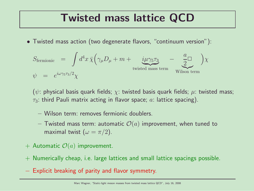#### Twisted mass lattice QCD

• Twisted mass action (two degenerate flavors, "continuum version"):

$$
S_{\text{fermionic}} = \int d^4x \,\bar{\chi} \Big( \gamma_\mu D_\mu + m + \underbrace{i\mu \gamma_5 \tau_3}_{\text{twisted mass term}} - \underbrace{\frac{a}{2}}_{\text{Wilson term}} \Big) \chi
$$

( $\psi$ : physical basis quark fields;  $\chi$ : twisted basis quark fields;  $\mu$ : twisted mass;  $\tau_3$ : third Pauli matrix acting in flavor space; a: lattice spacing).

- Wilson term: removes fermionic doublers.
- Twisted mass term: automatic  $\mathcal{O}(a)$  improvement, when tuned to maximal twist  $(\omega = \pi/2)$ .
- + Automatic  $\mathcal{O}(a)$  improvement.
- + Numerically cheap, i.e. large lattices and small lattice spacings possible.
- − Explicit breaking of parity and flavor symmetry.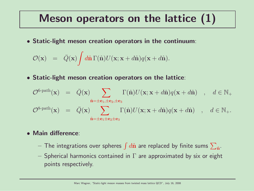### Meson operators on the lattice (1)

• Static-light meson creation operators in the continuum:

$$
\mathcal{O}(\mathbf{x}) = \bar{Q}(\mathbf{x}) \int d\hat{\mathbf{n}} \Gamma(\hat{\mathbf{n}}) U(\mathbf{x}; \mathbf{x} + d\hat{\mathbf{n}}) q(\mathbf{x} + d\hat{\mathbf{n}}).
$$

• Static-light meson creation operators on the lattice:

$$
\mathcal{O}^{\text{6-path}}(\mathbf{x}) = \bar{Q}(\mathbf{x}) \sum_{\hat{\mathbf{n}} = \pm \mathbf{e}_1, \pm \mathbf{e}_2, \pm \mathbf{e}_3} \Gamma(\hat{\mathbf{n}}) U(\mathbf{x}; \mathbf{x} + d\hat{\mathbf{n}}) q(\mathbf{x} + d\hat{\mathbf{n}}) , d \in \mathbb{N}_+
$$
  

$$
\mathcal{O}^{\text{8-path}}(\mathbf{x}) = \bar{Q}(\mathbf{x}) \sum_{\hat{\mathbf{n}} = \pm \mathbf{e}_1 \pm \mathbf{e}_2 \pm \mathbf{e}_3} \Gamma(\hat{\mathbf{n}}) U(\mathbf{x}; \mathbf{x} + d\hat{\mathbf{n}}) q(\mathbf{x} + d\hat{\mathbf{n}}) , d \in \mathbb{N}_+.
$$

#### • Main difference:

- $-$  The integrations over spheres  $\int d\hat{\bf n}$  are replaced by finite sums  $\sum_{\hat{\bf n}}.$
- Spherical harmonics contained in  $\Gamma$  are approximated by six or eight points respectively.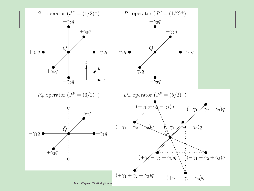

Marc Wagner, "Static-light mes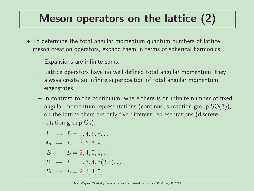## Meson operators on the lattice (2)

- To determine the total angular momentum quantum numbers of lattice meson creation operators, expand them in terms of spherical harmonics:
	- Expansions are infinite sums.
	- Lattice operators have no well defined total angular momentum; they always create an infinite superposition of total angular momentum eigenstates.
	- In contrast to the continuum, where there is an infinite number of fixed angular momentum representations (continuous rotation group SO(3)), on the lattice there are only five different representations (discrete rotation group  $O_h$ ):

$$
A_1 \rightarrow L = 0, 4, 6, 8, ...
$$
  
\n
$$
A_2 \rightarrow L = 3, 6, 7, 9, ...
$$
  
\n
$$
E \rightarrow L = 2, 4, 5, 6, ...
$$
  
\n
$$
T_1 \rightarrow L = 1, 3, 4, 5(2 \times), ...
$$
  
\n
$$
T_2 \rightarrow L = 2, 3, 4, 5, ...
$$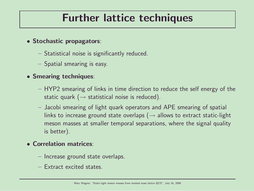### Further lattice techniques

- Stochastic propagators:
	- Statistical noise is significantly reduced.
	- Spatial smearing is easy.

#### • Smearing techniques:

- HYP2 smearing of links in time direction to reduce the self energy of the static quark ( $\rightarrow$  statistical noise is reduced).
- Jacobi smearing of light quark operators and APE smearing of spatial links to increase ground state overlaps ( $\rightarrow$  allows to extract static-light meson masses at smaller temporal separations, where the signal quality is better).

#### • Correlation matrices:

- Increase ground state overlaps.
- Extract excited states.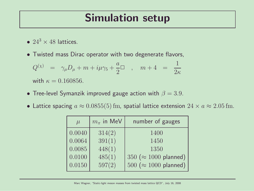#### Simulation setup

- $24^3 \times 48$  lattices.
- Twisted mass Dirac operator with two degenerate flavors,

$$
\begin{array}{rcl} Q^{(\chi)}&=&\gamma_\mu D_\mu+m+i\mu\gamma_5+\frac{a}{2}\Box\quad,\quad m+4&=&\frac{1}{2\kappa}\\[2mm] {\rm with}\ \kappa=0.160856. \end{array}
$$

- Tree-level Symanzik improved gauge action with  $\beta = 3.9$ .
- Lattice spacing  $a \approx 0.0855(5)$  fm, spatial lattice extension  $24 \times a \approx 2.05$  fm.

| $\mu$  | $m_{\pi}$ in MeV | number of gauges              |  |
|--------|------------------|-------------------------------|--|
| 0.0040 | 314(2)           | 1400                          |  |
| 0.0064 | 391(1)           | 1450                          |  |
| 0.0085 | 448(1)           | 1350                          |  |
| 0.0100 | 485(1)           | 350 ( $\approx$ 1000 planned) |  |
| 0.0150 | 597(2)           | $500 \approx 1000$ planned)   |  |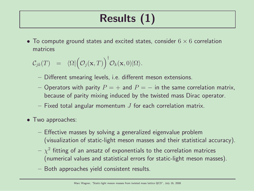# Results (1)

• To compute ground states and excited states, consider  $6 \times 6$  correlation matrices

$$
C_{jk}(T) = \langle \Omega | \big( \mathcal{O}_j(\mathbf{x}, T) \big)^{\dagger} \mathcal{O}_k(\mathbf{x}, 0) | \Omega \rangle.
$$

- Different smearing levels, i.e. different meson extensions.
- Operators with parity  $P = +$  and  $P = -$  in the same correlation matrix, because of parity mixing induced by the twisted mass Dirac operator.
- Fixed total angular momentum  $J$  for each correlation matrix.
- Two approaches:
	- Effective masses by solving a generalized eigenvalue problem (visualization of static-light meson masses and their statistical accuracy).
	- $\chi^2$  fitting of an ansatz of exponentials to the correlation matrices (numerical values and statistical errors for static-light meson masses).
	- Both approaches yield consistent results.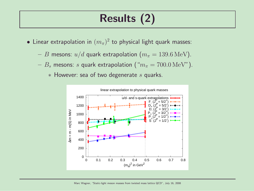## Results (2)

- $\bullet$  Linear extrapolation in  $(m_\pi)^2$  to physical light quark masses:
	- B mesons:  $u/d$  quark extrapolation  $(m_\pi = 139.6 \,\text{MeV})$ .
	- $-B_s$  mesons: s quark extrapolation (" $m_\pi = 700.0 \,\text{MeV}$ ").
		- $*$  However: sea of two degenerate  $s$  quarks.

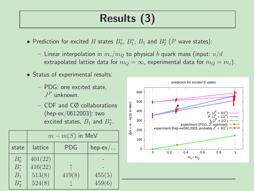## Results (3)

- $\bullet$  Prediction for excited  $B$  states  $B^*_0$ ,  $B^*_1$ ,  $B_1$  and  $B^*_2$   $(P$  wave states):
	- Linear interpolation in  $m_c/m_Q$  to physical b quark mass (input:  $u/d$ extrapolated lattice data for  $m_Q = \infty$ , experimental data for  $m_Q = m_c$ ).
- Status of experimental results:
	- PDG: one excited state,  $J^P$  unknown.
	- CDF and CØ collaborations (hep-ex/0612003): two excited states,  $B_1$  and  $B_2^*$ .

|                             | $m - m(S)$ in MeV            |            |           |  |
|-----------------------------|------------------------------|------------|-----------|--|
| state                       | lattice                      | <b>PDG</b> | $hep-ex/$ |  |
| $B_0^*$<br>$B_1^*$<br>$B_1$ | 401(22)<br>416(22)<br>513(8) | 419(8)     | 455(5)    |  |
| $B_{2}^*$                   | 524(8)                       |            | 459(6)    |  |

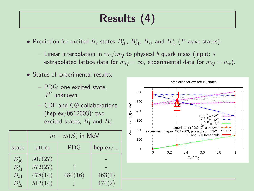## Results (4)

- Prediction for excited  $B_s$  states  $B_{s0}^*$ ,  $B_{s1}^*$ ,  $B_{s1}$  and  $B_{s2}^*$  ( $P$  wave states):
	- Linear interpolation in  $m_c/m_O$  to physical b quark mass (input: s extrapolated lattice data for  $m_Q = \infty$ , experimental data for  $m_Q = m_c$ ).
- Status of experimental results:
	- PDG: one excited state,  $J^P$  unknown.
	- CDF and CØ collaborations (hep-ex/0612003): two excited states,  $B_1$  and  $B_2^*$ .

|                                                    | $m - m(S)$ in MeV                        |            |                  |  |
|----------------------------------------------------|------------------------------------------|------------|------------------|--|
| state                                              | lattice                                  | <b>PDG</b> | $hep-ex/$        |  |
| $B_{s0}^*$<br>$B_{s1}^*$<br>$B_{s1}$<br>$B_{s2}^*$ | 507(27)<br>572(27)<br>478(14)<br>512(14) | 484(16)    | 463(1)<br>474(2) |  |



prediction for excited B<sub>s</sub> states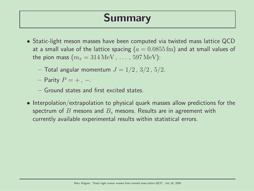## Summary

- Static-light meson masses have been computed via twisted mass lattice QCD at a small value of the lattice spacing ( $a = 0.0855$  fm) and at small values of the pion mass  $(m_\pi = 314 \,\text{MeV}, \ldots, 597 \,\text{MeV})$ :
	- Total angular momentum  $J = 1/2, 3/2, 5/2$ .
	- Parity  $P = +$ , –.
	- Ground states and first excited states.
- Interpolation/extrapolation to physical quark masses allow predictions for the spectrum of B mesons and  $B_s$  mesons. Results are in agreement with currently available experimental results within statistical errors.